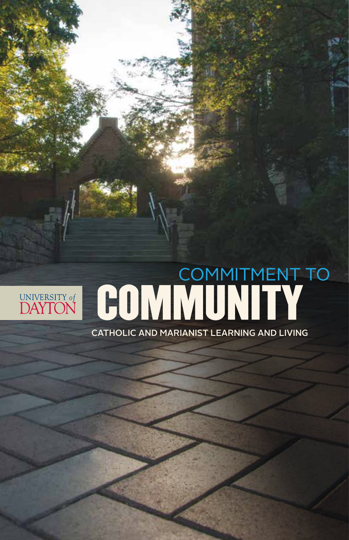## COMMITMENT TO COMMUNITY

CATHOLIC AND MARIANIST LEARNING AND LIVING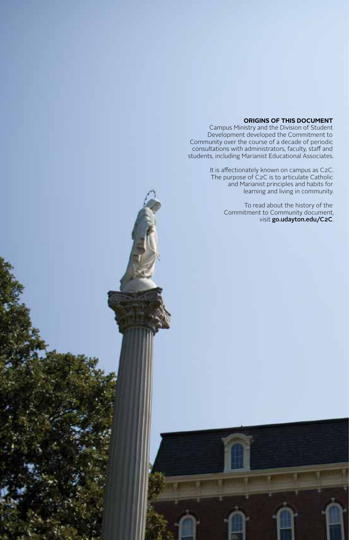#### **ORIGINS OF THIS DOCUMENT**

Campus Ministry and the Division of Student Development developed the Commitment to Community over the course of a decade of periodic consultations with administrators, faculty, staff and students, including Marianist Educational Associates.

> It is affectionately known on campus as C2C. The purpose of C2C is to articulate Catholic and Marianist principles and habits for learning and living in community.

> > **WINDS, BALLOO SANDON MORE**

To read about the history of the Commitment to Community document, visit go.udayton.edu/C2C.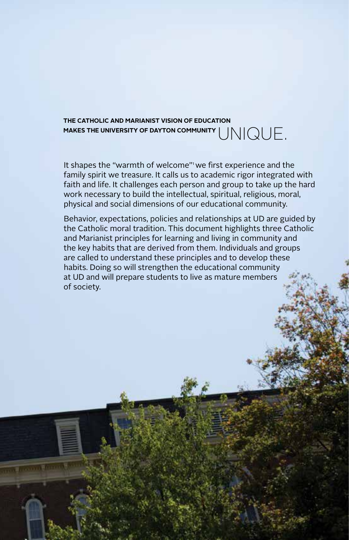### **THE CATHOLIC AND MARIANIST VISION OF EDUCATION**  MAKES THE UNIVERSITY OF DAYTON COMMUNITY  $\vert\,\,\vert\,\vert\,\vert\,\vert\,\vert\,\vert\,\vert$

It shapes the "warmth of welcome" we first experience and the family spirit we treasure. It calls us to academic rigor integrated with faith and life. It challenges each person and group to take up the hard work necessary to build the intellectual, spiritual, religious, moral, physical and social dimensions of our educational community.

Behavior, expectations, policies and relationships at UD are guided by the Catholic moral tradition. This document highlights three Catholic and Marianist principles for learning and living in community and the key habits that are derived from them. Individuals and groups are called to understand these principles and to develop these habits. Doing so will strengthen the educational community at UD and will prepare students to live as mature members of society.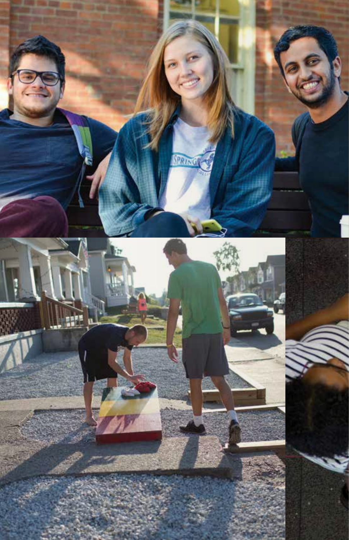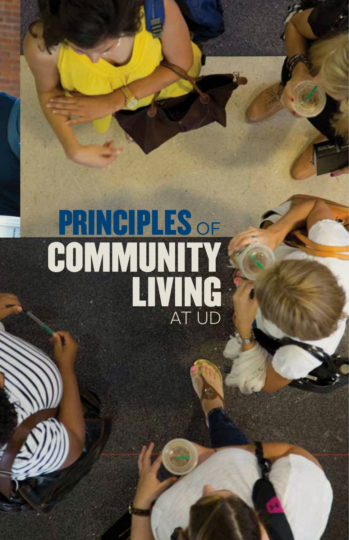# OF AT UD PRINGIPLES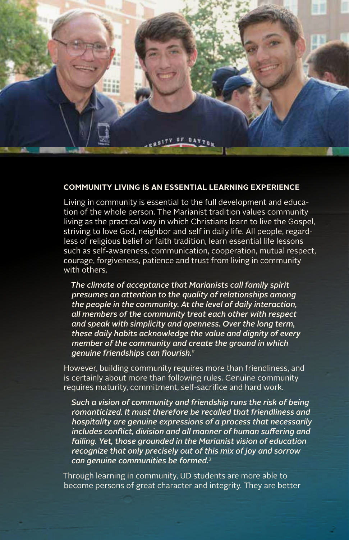

#### **COMMUNITY LIVING IS AN ESSENTIAL LEARNING EXPERIENCE**

Living in community is essential to the full development and education of the whole person. The Marianist tradition values community living as the practical way in which Christians learn to live the Gospel, striving to love God, neighbor and self in daily life. All people, regardless of religious belief or faith tradition, learn essential life lessons such as self-awareness, communication, cooperation, mutual respect, courage, forgiveness, patience and trust from living in community with others.

*The climate of acceptance that Marianists call family spirit presumes an attention to the quality of relationships among the people in the community. At the level of daily interaction, all members of the community treat each other with respect and speak with simplicity and openness. Over the long term, these daily habits acknowledge the value and dignity of every member of the community and create the ground in which genuine friendships can flourish.2*

However, building community requires more than friendliness, and is certainly about more than following rules. Genuine community requires maturity, commitment, self-sacrifice and hard work.

*Such a vision of community and friendship runs the risk of being romanticized. It must therefore be recalled that friendliness and hospitality are genuine expressions of a process that necessarily includes conflict, division and all manner of human suffering and failing. Yet, those grounded in the Marianist vision of education recognize that only precisely out of this mix of joy and sorrow can genuine communities be formed.3*

Through learning in community, UD students are more able to become persons of great character and integrity. They are better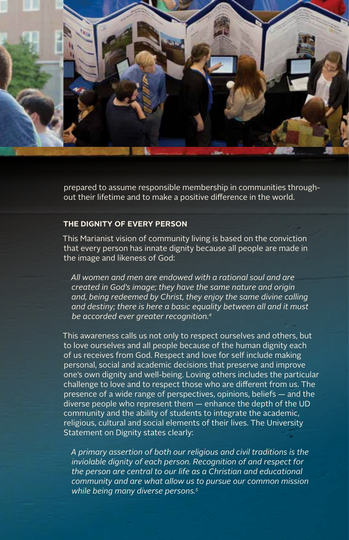

prepared to assume responsible membership in communities throughout their lifetime and to make a positive difference in the world.

#### **THE DIGNITY OF EVERY PERSON**

This Marianist vision of community living is based on the conviction that every person has innate dignity because all people are made in the image and likeness of God:

*All women and men are endowed with a rational soul and are created in God's image; they have the same nature and origin and, being redeemed by Christ, they enjoy the same divine calling and destiny; there is here a basic equality between all and it must be accorded ever greater recognition.<sup>4</sup>*

This awareness calls us not only to respect ourselves and others, but to love ourselves and all people because of the human dignity each of us receives from God. Respect and love for self include making personal, social and academic decisions that preserve and improve one's own dignity and well-being. Loving others includes the particular challenge to love and to respect those who are different from us. The presence of a wide range of perspectives, opinions, beliefs — and the diverse people who represent them — enhance the depth of the UD community and the ability of students to integrate the academic, religious, cultural and social elements of their lives. The University Statement on Dignity states clearly:

*A primary assertion of both our religious and civil traditions is the inviolable dignity of each person. Recognition of and respect for the person are central to our life as a Christian and educational community and are what allow us to pursue our common mission while being many diverse persons.5*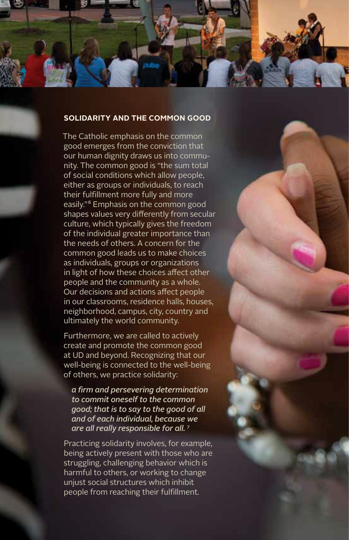

#### **SOLIDARITY AND THE COMMON GOOD**

The Catholic emphasis on the common good emerges from the conviction that our human dignity draws us into community. The common good is "the sum total of social conditions which allow people, either as groups or individuals, to reach their fulfillment more fully and more easily."<sup>6</sup> Emphasis on the common good shapes values very differently from secular culture, which typically gives the freedom of the individual greater importance than the needs of others. A concern for the common good leads us to make choices as individuals, groups or organizations in light of how these choices affect other people and the community as a whole. Our decisions and actions affect people in our classrooms, residence halls, houses, neighborhood, campus, city, country and ultimately the world community.

Furthermore, we are called to actively create and promote the common good at UD and beyond. Recognizing that our well-being is connected to the well-being of others, we practice solidarity:

*a firm and persevering determination to commit oneself to the common good; that is to say to the good of all and of each individual, because we are all really responsible for all. 7*

Practicing solidarity involves, for example, being actively present with those who are struggling, challenging behavior which is harmful to others, or working to change unjust social structures which inhibit people from reaching their fulfillment.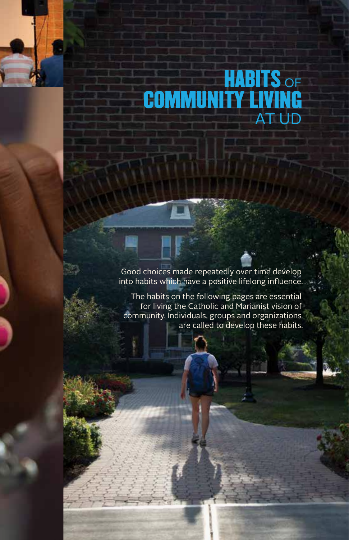## **HABITS OF** COMMUNITY LIVING AT UD

Good choices made repeatedly over time develop into habits which have a positive lifelong influence.

The habits on the following pages are essential for living the Catholic and Marianist vision of community. Individuals, groups and organizations are called to develop these habits.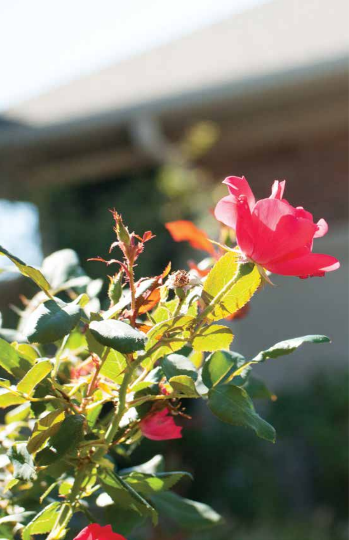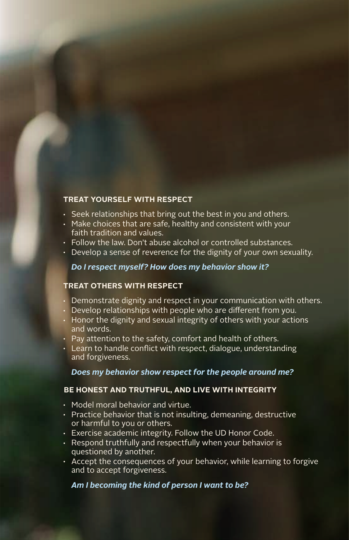#### **TREAT YOURSELF WITH RESPECT**

- Seek relationships that bring out the best in you and others.
- Make choices that are safe, healthy and consistent with your faith tradition and values.
- Follow the law. Don't abuse alcohol or controlled substances.
- Develop a sense of reverence for the dignity of your own sexuality.

#### *Do I respect myself? How does my behavior show it?*

#### **TREAT OTHERS WITH RESPECT**

- Demonstrate dignity and respect in your communication with others.
- Develop relationships with people who are different from you.
- $\cdot$  Honor the dignity and sexual integrity of others with your actions and words.
- Pay attention to the safety, comfort and health of others.
- Learn to handle conflict with respect, dialogue, understanding and forgiveness.

#### *Does my behavior show respect for the people around me?*

#### **BE HONEST AND TRUTHFUL, AND LIVE WITH INTEGRITY**

- Model moral behavior and virtue.
- Practice behavior that is not insulting, demeaning, destructive or harmful to you or others.
- Exercise academic integrity. Follow the UD Honor Code.
- Respond truthfully and respectfully when your behavior is questioned by another.
- Accept the consequences of your behavior, while learning to forgive and to accept forgiveness.

#### *Am I becoming the kind of person I want to be?*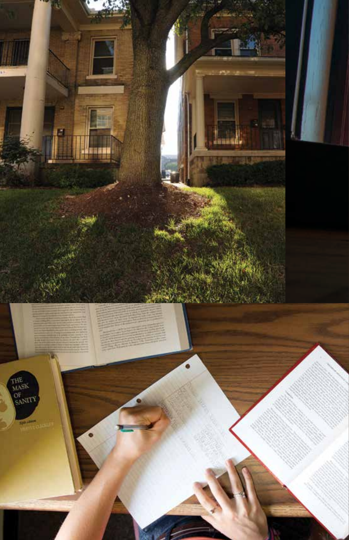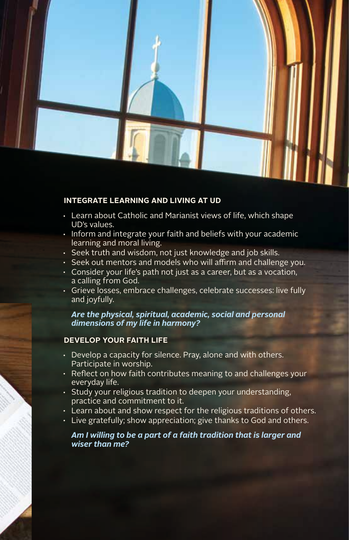

#### **INTEGRATE LEARNING AND LIVING AT UD**

- Learn about Catholic and Marianist views of life, which shape UD's values.
- Inform and integrate your faith and beliefs with your academic learning and moral living.
- Seek truth and wisdom, not just knowledge and job skills.
- Seek out mentors and models who will affirm and challenge you.
- Consider your life's path not just as a career, but as a vocation, a calling from God.
- Grieve losses, embrace challenges, celebrate successes: live fully and joyfully.

*Are the physical, spiritual, academic, social and personal dimensions of my life in harmony?* 

#### **DEVELOP YOUR FAITH LIFE**

- Develop a capacity for silence. Pray, alone and with others. Participate in worship.
- Reflect on how faith contributes meaning to and challenges your everyday life.
- Study your religious tradition to deepen your understanding, practice and commitment to it.
- Learn about and show respect for the religious traditions of others.
- Live gratefully; show appreciation; give thanks to God and others.

#### *Am I willing to be a part of a faith tradition that is larger and wiser than me?*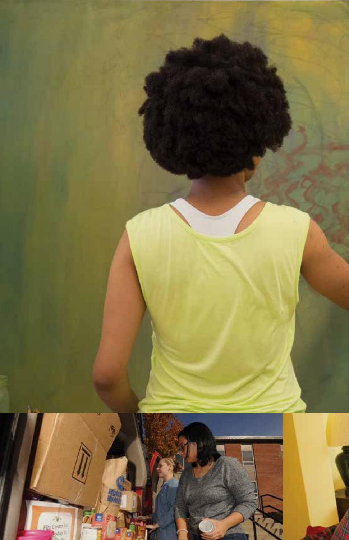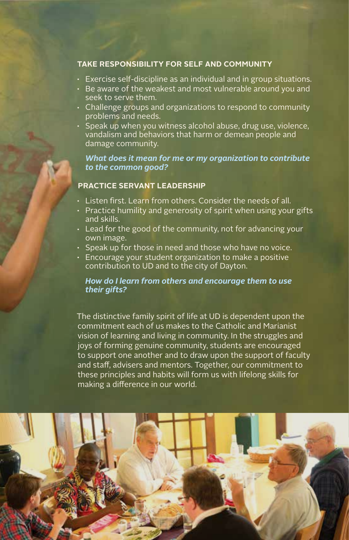#### **TAKE RESPONSIBILITY FOR SELF AND COMMUNITY**

- Exercise self-discipline as an individual and in group situations.
- Be aware of the weakest and most vulnerable around you and seek to serve them.
- Challenge groups and organizations to respond to community problems and needs.
- Speak up when you witness alcohol abuse, drug use, violence. vandalism and behaviors that harm or demean people and damage community.

*What does it mean for me or my organization to contribute to the common good?* 

#### **PRACTICE SERVANT LEADERSHIP**

- Listen first. Learn from others. Consider the needs of all.
- Practice humility and generosity of spirit when using your gifts and skills.
- Lead for the good of the community, not for advancing your own image.
- Speak up for those in need and those who have no voice.
- Encourage your student organization to make a positive contribution to UD and to the city of Dayton.

#### *How do I learn from others and encourage them to use their gifts?*

The distinctive family spirit of life at UD is dependent upon the commitment each of us makes to the Catholic and Marianist vision of learning and living in community. In the struggles and joys of forming genuine community, students are encouraged to support one another and to draw upon the support of faculty and staff, advisers and mentors. Together, our commitment to these principles and habits will form us with lifelong skills for making a difference in our world.